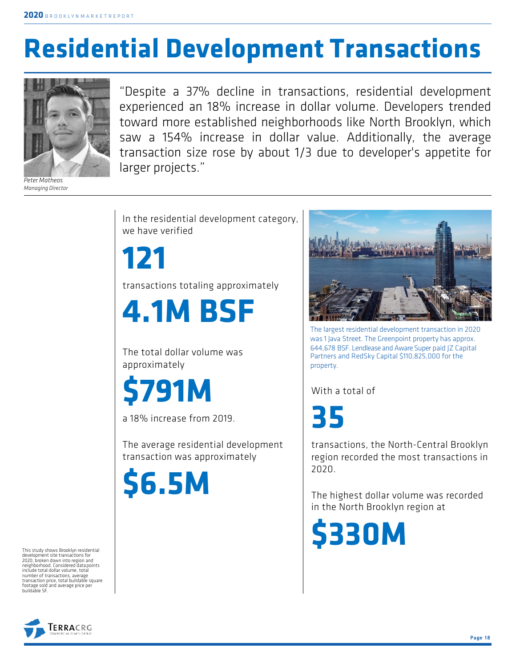## **Residential Development Transactions**



*Peter Matheos Managing Director*

"Despite a 37% decline in transactions, residential development experienced an 18% increase in dollar volume. Developers trended toward more established neighborhoods like North Brooklyn, which saw a 154% increase in dollar value. Additionally, the average transaction size rose by about 1/3 due to developer's appetite for larger projects."

In the residential development category, we have verified

**121**

transactions totaling approximately

**4.1M BSF**

The total dollar volume was approximately

**\$791M**

a 18% increase from 2019.

The average residential development transaction was approximately

**\$6.5M**

The largest residential development transaction in 2020 was 1 Java Street. The Greenpoint property has approx. 644,678 BSF. Lendlease and Aware Super paid JZ Capital Partners and RedSky Capital \$110,825,000 for the property.

With a total of

**35**

transactions, the North-Central Brooklyn region recorded the most transactions in 2020.

The highest dollar volume was recorded in the North Brooklyn region at

**\$330M**

This study shows Brooklyn residential development site transactions for 2020, broken down into region and neighborhood. Considered data points include total dollar volume, total number of transactions, average transaction price, total buildable square footage sold and average price per<br>buildable SF

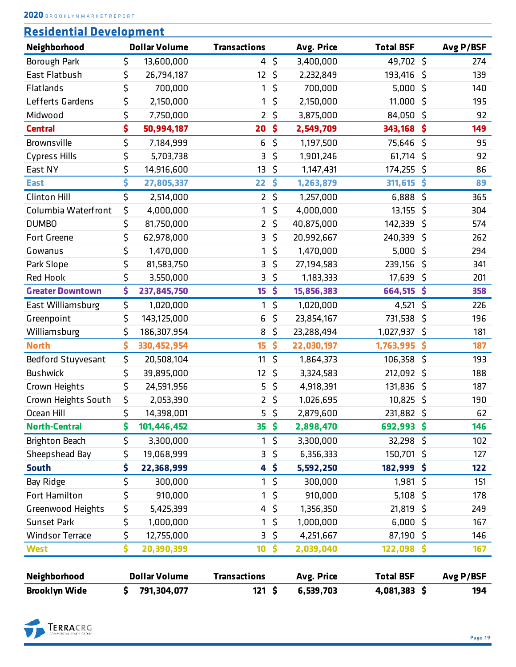| <b>Residential Development</b> |  |  |
|--------------------------------|--|--|
|                                |  |  |

| Neighborhood             | <b>Dollar Volume</b> | <b>Transactions</b> |                 | Avg. Price | <b>Total BSF</b> | Avg P/BSF |
|--------------------------|----------------------|---------------------|-----------------|------------|------------------|-----------|
| <b>Borough Park</b>      | \$<br>13,600,000     | 4                   | \$              | 3,400,000  | 49,702 \$        | 274       |
| <b>East Flatbush</b>     | \$<br>26,794,187     | 12                  | $\zeta$         | 2,232,849  | 193,416 \$       | 139       |
| Flatlands                | \$<br>700,000        | 1                   | \$              | 700,000    | 5,000            | \$<br>140 |
| Lefferts Gardens         | \$<br>2,150,000      | 1                   | \$              | 2,150,000  | 11,000           | \$<br>195 |
| Midwood                  | \$<br>7,750,000      | 2                   | \$              | 3,875,000  | 84,050           | \$<br>92  |
| <b>Central</b>           | \$<br>50,994,187     | 20                  | \$              | 2,549,709  | 343,168          | \$<br>149 |
| Brownsville              | \$<br>7,184,999      | 6                   | \$              | 1,197,500  | 75,646           | \$<br>95  |
| <b>Cypress Hills</b>     | \$<br>5,703,738      | 3                   | \$              | 1,901,246  | $61,714$ \$      | 92        |
| East NY                  | \$<br>14,916,600     | 13                  | \$              | 1,147,431  | 174,255          | \$<br>86  |
| <b>East</b>              | \$<br>27,805,337     | 22                  | \$              | 1,263,879  | 311,615          | \$<br>89  |
| <b>Clinton Hill</b>      | \$<br>2,514,000      | $\overline{2}$      | $\zeta$         | 1,257,000  | 6,888            | \$<br>365 |
| Columbia Waterfront      | \$<br>4,000,000      | 1                   | \$              | 4,000,000  | 13,155           | \$<br>304 |
| <b>DUMBO</b>             | \$<br>81,750,000     | 2                   | \$              | 40,875,000 | 142,339          | \$<br>574 |
| <b>Fort Greene</b>       | \$<br>62,978,000     | 3                   | $\zeta$         | 20,992,667 | 240,339          | \$<br>262 |
| Gowanus                  | \$<br>1,470,000      | 1                   | \$              | 1,470,000  | 5,000            | \$<br>294 |
| Park Slope               | \$<br>81,583,750     | 3                   | \$              | 27,194,583 | 239,156          | \$<br>341 |
| Red Hook                 | \$<br>3,550,000      | 3                   | \$              | 1,183,333  | 17,639           | \$<br>201 |
| <b>Greater Downtown</b>  | \$<br>237,845,750    | 15                  | \$              | 15,856,383 | 664,515          | \$<br>358 |
| East Williamsburg        | \$<br>1,020,000      | 1                   | \$              | 1,020,000  | 4,521            | \$<br>226 |
| Greenpoint               | \$<br>143,125,000    | 6                   | \$              | 23,854,167 | 731,538          | \$<br>196 |
| Williamsburg             | \$<br>186,307,954    | 8                   | \$              | 23,288,494 | 1,027,937        | \$<br>181 |
| <b>North</b>             | \$<br>330, 452, 954  | 15                  | \$              | 22,030,197 | 1,763,995        | \$<br>187 |
| Bedford Stuyvesant       | \$<br>20,508,104     | 11                  | \$              | 1,864,373  | 106,358          | \$<br>193 |
| <b>Bushwick</b>          | \$<br>39,895,000     | 12                  | \$              | 3,324,583  | 212,092 \$       | 188       |
| Crown Heights            | \$<br>24,591,956     | 5                   | \$              | 4,918,391  | 131,836          | \$<br>187 |
| Crown Heights South      | \$<br>2,053,390      | 2                   | \$              | 1,026,695  | 10,825 \$        | 190       |
| Ocean Hill               | \$<br>14,398,001     |                     | $5\sqrt{5}$     | 2,879,600  | 231,882          | \$<br>62  |
| <b>North-Central</b>     | \$<br>101,446,452    | 35 <sub>5</sub>     |                 | 2,898,470  | 692,993\$        | 146       |
| <b>Brighton Beach</b>    | \$<br>3,300,000      | $\mathbf{1}$        | \$              | 3,300,000  | 32,298 \$        | 102       |
| Sheepshead Bay           | \$<br>19,068,999     |                     | $3\sqrt{5}$     | 6,356,333  | 150,701 \$       | 127       |
| <b>South</b>             | \$<br>22,368,999     |                     | 4 <sup>5</sup>  | 5,592,250  | 182,999 \$       | 122       |
| Bay Ridge                | \$<br>300,000        | $\mathbf{1}$        | $\zeta$         | 300,000    | $1,981$ \$       | 151       |
| Fort Hamilton            | \$<br>910,000        | 1                   | $\zeta$         | 910,000    | $5,108$ \$       | 178       |
| <b>Greenwood Heights</b> | \$<br>5,425,399      | 4                   | $\zeta$         | 1,356,350  | $21,819$ \$      | 249       |
| <b>Sunset Park</b>       | \$<br>1,000,000      | 1                   | \$              | 1,000,000  | $6,000$ \$       | 167       |
| <b>Windsor Terrace</b>   | \$<br>12,755,000     |                     | $3\sqrt{5}$     | 4,251,667  | 87,190 \$        | 146       |
| <b>West</b>              | \$<br>20,390,399     | 10 <sub>1</sub>     | $\ddot{\bm{s}}$ | 2,039,040  | $122,098$ \$     | 167       |
|                          |                      |                     |                 |            |                  |           |
| Neighborhood             | <b>Dollar Volume</b> | <b>Transactions</b> |                 | Avg. Price | <b>Total BSF</b> | Avg P/BSF |
| <b>Brooklyn Wide</b>     | \$<br>791,304,077    | $121 \;$ \$         |                 | 6,539,703  | 4,081,383 \$     | 194       |